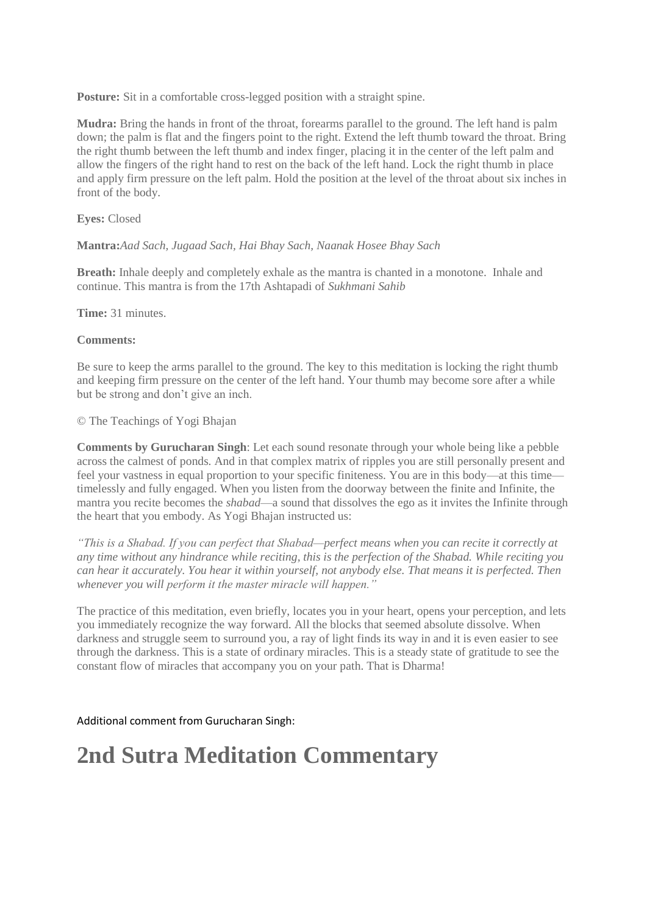**Posture:** Sit in a comfortable cross-legged position with a straight spine.

**Mudra:** Bring the hands in front of the throat, forearms paraIlel to the ground. The left hand is palm down; the palm is flat and the fingers point to the right. Extend the left thumb toward the throat. Bring the right thumb between the left thumb and index finger, placing it in the center of the left palm and allow the fingers of the right hand to rest on the back of the left hand. Lock the right thumb in place and apply firm pressure on the left palm. Hold the position at the level of the throat about six inches in front of the body.

### **Eyes:** Closed

## **Mantra:***Aad Sach, Jugaad Sach, Hai Bhay Sach, Naanak Hosee Bhay Sach*

**Breath:** Inhale deeply and completely exhale as the mantra is chanted in a monotone. Inhale and continue. This mantra is from the 17th Ashtapadi of *Sukhmani Sahib*

**Time:** 31 minutes.

### **Comments:**

Be sure to keep the arms parallel to the ground. The key to this meditation is locking the right thumb and keeping firm pressure on the center of the left hand. Your thumb may become sore after a while but be strong and don't give an inch.

© The Teachings of Yogi Bhajan

**Comments by Gurucharan Singh**: Let each sound resonate through your whole being like a pebble across the calmest of ponds. And in that complex matrix of ripples you are still personally present and feel your vastness in equal proportion to your specific finiteness. You are in this body—at this time timelessly and fully engaged. When you listen from the doorway between the finite and Infinite, the mantra you recite becomes the *shabad*—a sound that dissolves the ego as it invites the Infinite through the heart that you embody. As Yogi Bhajan instructed us:

*"This is a Shabad. If you can perfect that Shabad—perfect means when you can recite it correctly at any time without any hindrance while reciting, this is the perfection of the Shabad. While reciting you can hear it accurately. You hear it within yourself, not anybody else. That means it is perfected. Then whenever you will perform it the master miracle will happen."*

The practice of this meditation, even briefly, locates you in your heart, opens your perception, and lets you immediately recognize the way forward. All the blocks that seemed absolute dissolve. When darkness and struggle seem to surround you, a ray of light finds its way in and it is even easier to see through the darkness. This is a state of ordinary miracles. This is a steady state of gratitude to see the constant flow of miracles that accompany you on your path. That is Dharma!

Additional comment from Gurucharan Singh:

# **2nd Sutra Meditation Commentary**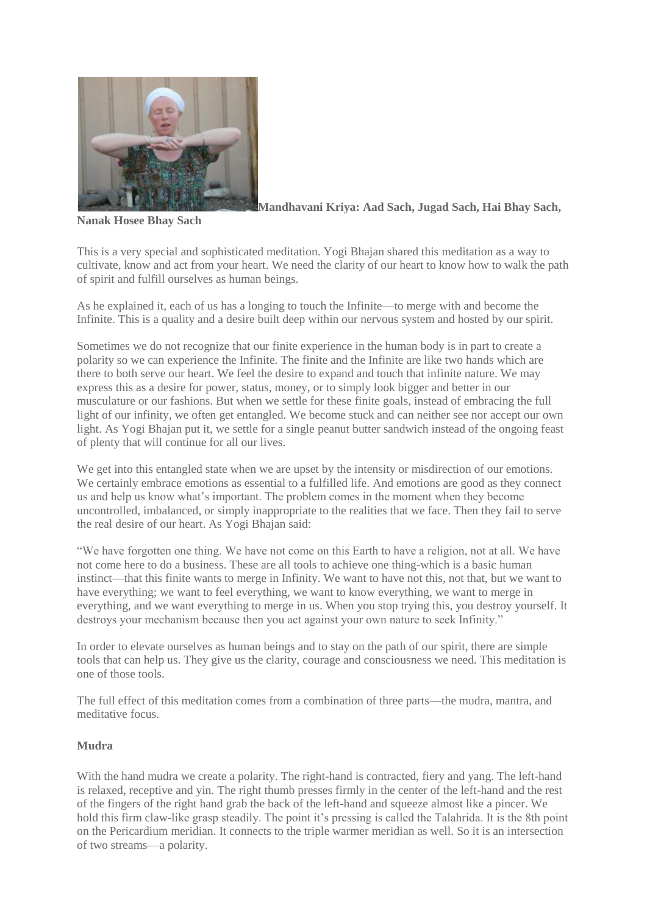

**Mandhavani Kriya: Aad Sach, Jugad Sach, Hai Bhay Sach,** 

**Nanak Hosee Bhay Sach**

This is a very special and sophisticated meditation. Yogi Bhajan shared this meditation as a way to cultivate, know and act from your heart. We need the clarity of our heart to know how to walk the path of spirit and fulfill ourselves as human beings.

As he explained it, each of us has a longing to touch the Infinite—to merge with and become the Infinite. This is a quality and a desire built deep within our nervous system and hosted by our spirit.

Sometimes we do not recognize that our finite experience in the human body is in part to create a polarity so we can experience the Infinite. The finite and the Infinite are like two hands which are there to both serve our heart. We feel the desire to expand and touch that infinite nature. We may express this as a desire for power, status, money, or to simply look bigger and better in our musculature or our fashions. But when we settle for these finite goals, instead of embracing the full light of our infinity, we often get entangled. We become stuck and can neither see nor accept our own light. As Yogi Bhajan put it, we settle for a single peanut butter sandwich instead of the ongoing feast of plenty that will continue for all our lives.

We get into this entangled state when we are upset by the intensity or misdirection of our emotions. We certainly embrace emotions as essential to a fulfilled life. And emotions are good as they connect us and help us know what's important. The problem comes in the moment when they become uncontrolled, imbalanced, or simply inappropriate to the realities that we face. Then they fail to serve the real desire of our heart. As Yogi Bhajan said:

"We have forgotten one thing. We have not come on this Earth to have a religion, not at all. We have not come here to do a business. These are all tools to achieve one thing-which is a basic human instinct—that this finite wants to merge in Infinity. We want to have not this, not that, but we want to have everything; we want to feel everything, we want to know everything, we want to merge in everything, and we want everything to merge in us. When you stop trying this, you destroy yourself. It destroys your mechanism because then you act against your own nature to seek Infinity."

In order to elevate ourselves as human beings and to stay on the path of our spirit, there are simple tools that can help us. They give us the clarity, courage and consciousness we need. This meditation is one of those tools.

The full effect of this meditation comes from a combination of three parts—the mudra, mantra, and meditative focus.

# **Mudra**

With the hand mudra we create a polarity. The right-hand is contracted, fiery and yang. The left-hand is relaxed, receptive and yin. The right thumb presses firmly in the center of the left-hand and the rest of the fingers of the right hand grab the back of the left-hand and squeeze almost like a pincer. We hold this firm claw-like grasp steadily. The point it's pressing is called the Talahrida. It is the 8th point on the Pericardium meridian. It connects to the triple warmer meridian as well. So it is an intersection of two streams—a polarity.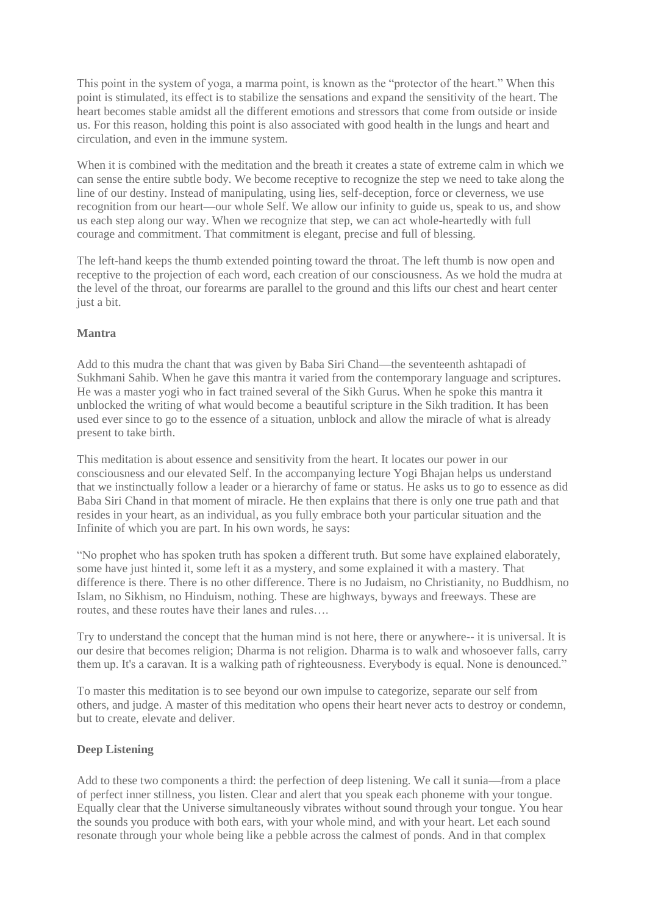This point in the system of yoga, a marma point, is known as the "protector of the heart." When this point is stimulated, its effect is to stabilize the sensations and expand the sensitivity of the heart. The heart becomes stable amidst all the different emotions and stressors that come from outside or inside us. For this reason, holding this point is also associated with good health in the lungs and heart and circulation, and even in the immune system.

When it is combined with the meditation and the breath it creates a state of extreme calm in which we can sense the entire subtle body. We become receptive to recognize the step we need to take along the line of our destiny. Instead of manipulating, using lies, self-deception, force or cleverness, we use recognition from our heart—our whole Self. We allow our infinity to guide us, speak to us, and show us each step along our way. When we recognize that step, we can act whole-heartedly with full courage and commitment. That commitment is elegant, precise and full of blessing.

The left-hand keeps the thumb extended pointing toward the throat. The left thumb is now open and receptive to the projection of each word, each creation of our consciousness. As we hold the mudra at the level of the throat, our forearms are parallel to the ground and this lifts our chest and heart center just a bit.

## **Mantra**

Add to this mudra the chant that was given by Baba Siri Chand—the seventeenth ashtapadi of Sukhmani Sahib. When he gave this mantra it varied from the contemporary language and scriptures. He was a master yogi who in fact trained several of the Sikh Gurus. When he spoke this mantra it unblocked the writing of what would become a beautiful scripture in the Sikh tradition. It has been used ever since to go to the essence of a situation, unblock and allow the miracle of what is already present to take birth.

This meditation is about essence and sensitivity from the heart. It locates our power in our consciousness and our elevated Self. In the accompanying lecture Yogi Bhajan helps us understand that we instinctually follow a leader or a hierarchy of fame or status. He asks us to go to essence as did Baba Siri Chand in that moment of miracle. He then explains that there is only one true path and that resides in your heart, as an individual, as you fully embrace both your particular situation and the Infinite of which you are part. In his own words, he says:

"No prophet who has spoken truth has spoken a different truth. But some have explained elaborately, some have just hinted it, some left it as a mystery, and some explained it with a mastery. That difference is there. There is no other difference. There is no Judaism, no Christianity, no Buddhism, no Islam, no Sikhism, no Hinduism, nothing. These are highways, byways and freeways. These are routes, and these routes have their lanes and rules….

Try to understand the concept that the human mind is not here, there or anywhere-- it is universal. It is our desire that becomes religion; Dharma is not religion. Dharma is to walk and whosoever falls, carry them up. It's a caravan. It is a walking path of righteousness. Everybody is equal. None is denounced."

To master this meditation is to see beyond our own impulse to categorize, separate our self from others, and judge. A master of this meditation who opens their heart never acts to destroy or condemn, but to create, elevate and deliver.

### **Deep Listening**

Add to these two components a third: the perfection of deep listening. We call it sunia—from a place of perfect inner stillness, you listen. Clear and alert that you speak each phoneme with your tongue. Equally clear that the Universe simultaneously vibrates without sound through your tongue. You hear the sounds you produce with both ears, with your whole mind, and with your heart. Let each sound resonate through your whole being like a pebble across the calmest of ponds. And in that complex